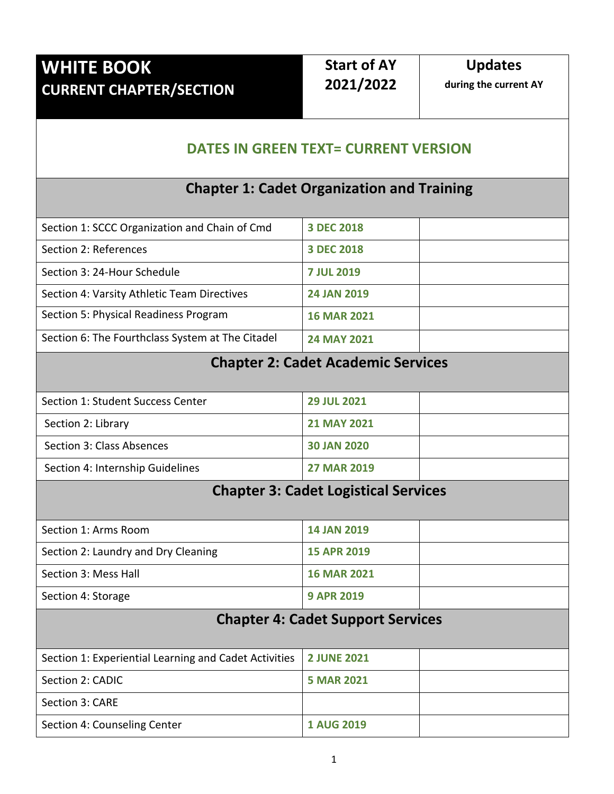# **WHITE BOOK CURRENT CHAPTER/SECTION**

# **Start of AY 2021/2022**

**Updates**

**during the current AY**

### **DATES IN GREEN TEXT= CURRENT VERSION**

#### **Chapter 1: Cadet Organization and Training**

| Section 1: SCCC Organization and Chain of Cmd    | 3 DEC 2018         |  |
|--------------------------------------------------|--------------------|--|
| Section 2: References                            | 3 DEC 2018         |  |
| Section 3: 24-Hour Schedule                      | <b>7 JUL 2019</b>  |  |
| Section 4: Varsity Athletic Team Directives      | <b>24 JAN 2019</b> |  |
| Section 5: Physical Readiness Program            | <b>16 MAR 2021</b> |  |
| Section 6: The Fourthclass System at The Citadel | <b>24 MAY 2021</b> |  |

#### **Chapter 2: Cadet Academic Services**

| Section 1: Student Success Center | <b>29 JUL 2021</b> |  |
|-----------------------------------|--------------------|--|
| Section 2: Library                | <b>21 MAY 2021</b> |  |
| Section 3: Class Absences         | <b>30 JAN 2020</b> |  |
| Section 4: Internship Guidelines  | <b>27 MAR 2019</b> |  |

### **Chapter 3: Cadet Logistical Services**

| Section 1: Arms Room                | <b>14 JAN 2019</b> |  |
|-------------------------------------|--------------------|--|
| Section 2: Laundry and Dry Cleaning | <b>15 APR 2019</b> |  |
| Section 3: Mess Hall                | <b>16 MAR 2021</b> |  |
| Section 4: Storage                  | <b>9 APR 2019</b>  |  |

## **Chapter 4: Cadet Support Services**

| Section 1: Experiential Learning and Cadet Activities   2 JUNE 2021 |                   |  |
|---------------------------------------------------------------------|-------------------|--|
| Section 2: CADIC                                                    | <b>5 MAR 2021</b> |  |
| Section 3: CARE                                                     |                   |  |
| Section 4: Counseling Center                                        | <b>1 AUG 2019</b> |  |